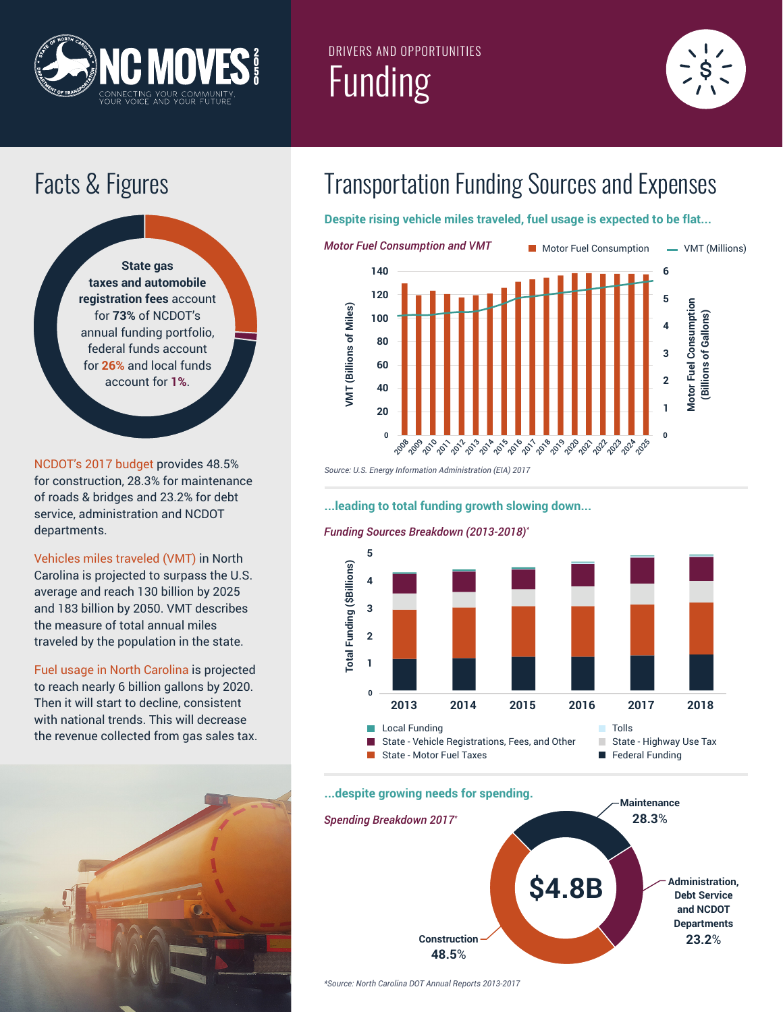

## DRIVERS AND OPPORTUNITIES Funding





NCDOT's 2017 budget provides 48.5% for construction, 28.3% for maintenance of roads & bridges and 23.2% for debt service, administration and NCDOT departments.

Vehicles miles traveled (VMT) in North Carolina is projected to surpass the U.S. average and reach 130 billion by 2025 and 183 billion by 2050. VMT describes the measure of total annual miles traveled by the population in the state.

Fuel usage in North Carolina is projected to reach nearly 6 billion gallons by 2020. Then it will start to decline, consistent with national trends. This will decrease the revenue collected from gas sales tax.



# Facts & Figures Transportation Funding Sources and Expenses

**Despite rising vehicle miles traveled, fuel usage is expected to be flat...**



*Source: U.S. Energy Information Administration (EIA) 2017*

#### **...leading to total funding growth slowing down...**

#### *Funding Sources Breakdown (2013-2018)\**



#### **...despite growing needs for spending.**



*\*Source: North Carolina DOT Annual Reports 2013-2017*